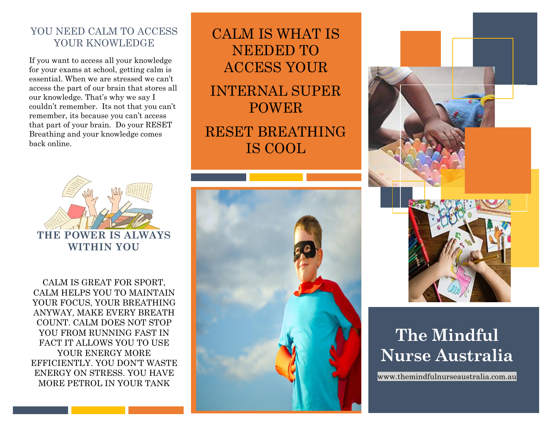# YOU NEED CALM TO ACCESS YOUR KNOWLEDGE

If you want to access all your knowledge for your exams at school, getting calm is essential. When we are stressed we can't access the part of our brain that stores all our knowledge. That's why we say I couldn't remember. Its not that you can't remember, its because you can't access that part of your brain. Do your RESET Breathing and your knowledge comes back online.



CALM IS GREAT FOR SPORT, CALM HELPS YOU TO MAINTAIN YOUR FOCUS, YOUR BREATHING ANYWAY, MAKE EVERY BREATH COUNT. CALM DOES NOT STOP YOU FROM RUNNING FAST IN FACT IT ALLOWS YOU TO USE YOUR ENERGY MORE EFFICIENTLY. YOU DON'T WASTE ENERGY ON STRESS. YOU HAVE MORE PETROL IN YOUR TANK

CALM IS WHAT IS NEEDED TO ACCESS YOUR INTERNAL SUPER POWER RESET BREATHING IS COOL





# **The Mindful Nurse Australia**

www.themindfulnurseaustralia.com.au